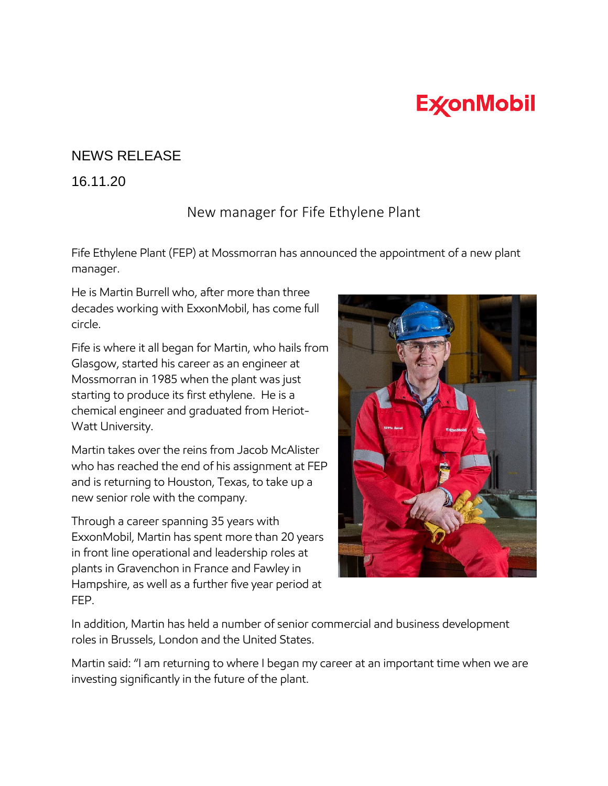## **ExconMobil**

## NEWS RELEASE

## 16.11.20

## New manager for Fife Ethylene Plant

Fife Ethylene Plant (FEP) at Mossmorran has announced the appointment of a new plant manager.

He is Martin Burrell who, after more than three decades working with ExxonMobil, has come full circle.

Fife is where it all began for Martin, who hails from Glasgow, started his career as an engineer at Mossmorran in 1985 when the plant was just starting to produce its first ethylene. He is a chemical engineer and graduated from Heriot-Watt University.

Martin takes over the reins from Jacob McAlister who has reached the end of his assignment at FEP and is returning to Houston, Texas, to take up a new senior role with the company.

Through a career spanning 35 years with ExxonMobil, Martin has spent more than 20 years in front line operational and leadership roles at plants in Gravenchon in France and Fawley in Hampshire, as well as a further five year period at FEP.



In addition, Martin has held a number of senior commercial and business development roles in Brussels, London and the United States.

Martin said: "I am returning to where I began my career at an important time when we are investing significantly in the future of the plant.